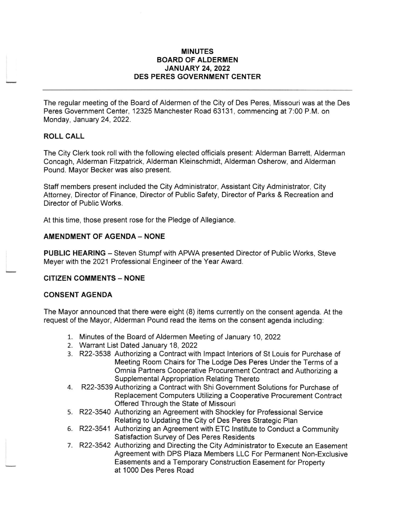### MINUTES BOARD OF ALDERMEN JANUARY 24,2022 DES PERES GOVERNMENT CENTER

The regular meeting of the Board of Aldermen of the City of Des Peres, Missouri was at the Des Peres Government Center, 12325 Manchester Road 63131 , commencing at 7:00 P.M. on Monday, January 24, 2022.

## ROLL CALL

The City Clerk took roll with the following elected officials present: Alderman Barrett, Alderman Concagh, Alderman Fitzpatrick, Alderman Kleinschmidt, Alderman Osherow, and Alderman Pound. Mayor Becker was also present.

Staff members present included the City Administrator, Assistant City Administrator, City Attorney, Director of Finance, Director of Public Safety, Director of Parks & Recreation and Director of Public Works.

At this time, those present rose for the Pledge of Allegiance

### **AMENDMENT OF AGENDA - NONE**

PUBLIC HEARING - Steven Stumpf with APWA presented Director of Public Works, Steve Meyer with the 2021 Professional Engineer of the Year Award.

### **CITIZEN COMMENTS - NONE**

### CONSENT AGENDA

The Mayor announced that there were eight (8) items currently on the consent agenda. At the request of the Mayor, Alderman Pound read the items on the consent agenda including:

- 1. Minutes of the Board of Aldermen Meeting of January 10, 2022
- 2. Warrant List Dated January 18,2022
- 3. R22-3538 Authorizing a Contract with lmpact lnteriors of St Louis for Purchase of Meeting Room Chairs for The Lodge Des Peres Under the Terms of a Omnia Partners Cooperative Procurement Contract and Authorizing a
- 4. R22-3539 Authorizing a Contract with Shi Government Solutions for Purchase of Replacement Computers Utilizing a Cooperative Procurement Contract Offered Through the State of Missouri
- 5. R22-3540 Authorizing an Agreement with Shockley for Professional Service Relating to Updating the City of Des Peres Strategic Plan
- 6. R22-3541 Authorizing an Agreement with ETC lnstitute to Conduct a Community Satisfaction Survey of Des Peres Residents
- 7. R22-3542 Authorizing and Directing the City Administrator to Execute an Easement Agreement with DPS Plaza Members LLC For Permanent Non-Exclusive Easements and a Temporary Construction Easement for Property at '1000 Des Peres Road